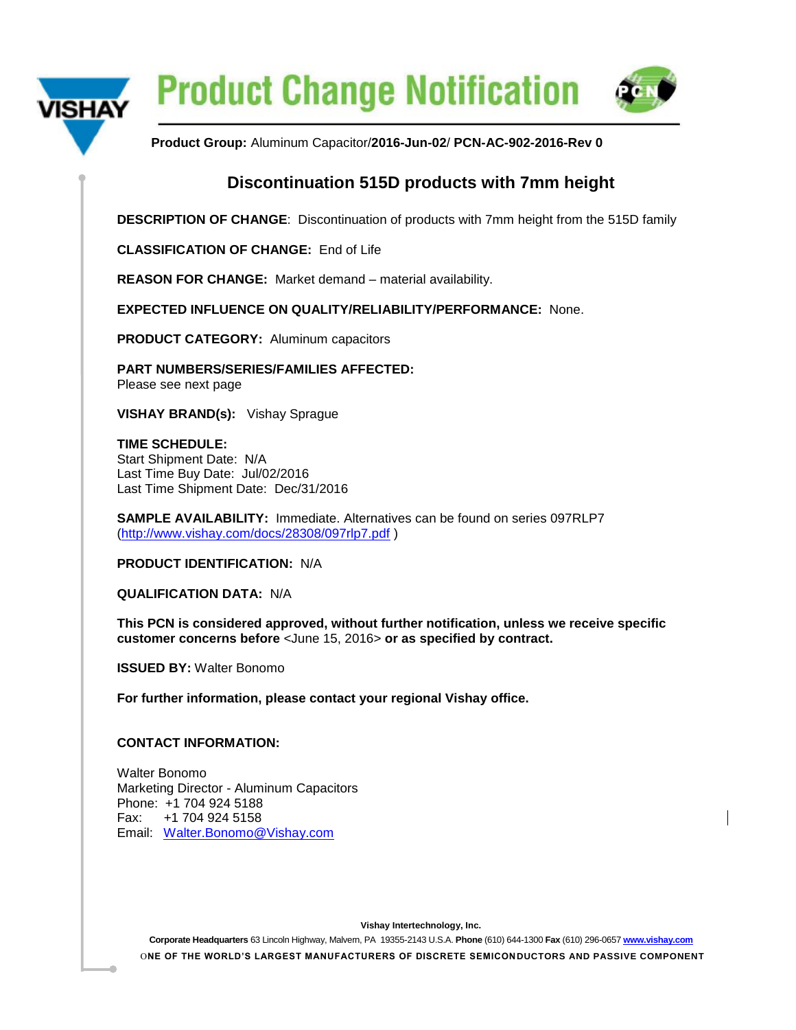

**Product Change Notification** 



**Product Group:** Aluminum Capacitor/**2016-Jun-02**/ **PCN-AC-902-2016-Rev 0**

## **Discontinuation 515D products with 7mm height**

**DESCRIPTION OF CHANGE**: Discontinuation of products with 7mm height from the 515D family

**CLASSIFICATION OF CHANGE:** End of Life

**REASON FOR CHANGE:** Market demand – material availability.

**EXPECTED INFLUENCE ON QUALITY/RELIABILITY/PERFORMANCE:** None.

**PRODUCT CATEGORY:** Aluminum capacitors

**PART NUMBERS/SERIES/FAMILIES AFFECTED:**  Please see next page

**VISHAY BRAND(s):** Vishay Sprague

**TIME SCHEDULE:** Start Shipment Date: N/A Last Time Buy Date: Jul/02/2016 Last Time Shipment Date: Dec/31/2016

**SAMPLE AVAILABILITY:** Immediate. Alternatives can be found on series 097RLP7 [\(http://www.vishay.com/docs/28308/097rlp7.pdf](http://www.vishay.com/docs/28308/097rlp7.pdf) )

**PRODUCT IDENTIFICATION:** N/A

**QUALIFICATION DATA:** N/A

**This PCN is considered approved, without further notification, unless we receive specific customer concerns before** <June 15, 2016> **or as specified by contract.**

**ISSUED BY:** Walter Bonomo

**For further information, please contact your regional Vishay office.** 

## **CONTACT INFORMATION:**

Walter Bonomo Marketing Director - Aluminum Capacitors Phone: +1 704 924 5188 Fax: +1 704 924 5158 Email: [Walter.Bonomo@Vishay.com](mailto:Walter.Bonomo@Vishay.com)

**Vishay Intertechnology, Inc.**

**Corporate Headquarters** 63 Lincoln Highway, Malvern, PA 19355-2143 U.S.A. **Phone** (610) 644-1300 **Fax** (610) 296-0657 **[www.vishay.com](http://www.vishay.com/)** O**NE OF THE WORLD'S LARGEST MANUFACTURERS OF DISCRETE SEMICONDUCTORS AND PASSIVE COMPONENT**